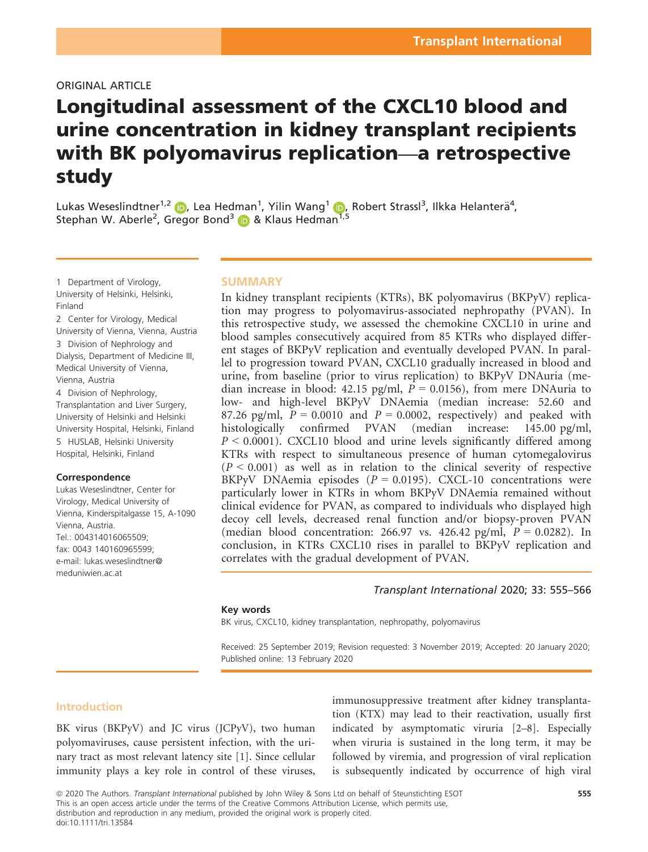### ORIGINAL ARTICLE

# Longitudinal assessment of the CXCL10 blood and urine concentration in kidney transplant recipients with BK polyomavirus replication—a retrospective study

Lukas Weseslindtner<sup>1,[2](https://orcid.org/0000-0001-8950-937X)</sup> (D, Lea Hedman<sup>[1](https://orcid.org/0000-0002-4845-5982)</sup>, Yilin Wang<sup>1</sup> (D, Robert Strassl<sup>3</sup>, Ilkka Helanterä<sup>4</sup>, Stephan W. Aberle<sup>2</sup>, Gregor Bond<sup>[3](https://orcid.org/0000-0003-0440-3053)</sup> D & Klaus Hedman<sup>[1](https://orcid.org/0000-0002-4845-5982),5</sup>

1 Department of Virology, University of Helsinki, Helsinki, Finland

2 Center for Virology, Medical University of Vienna, Vienna, Austria 3 Division of Nephrology and Dialysis, Department of Medicine III, Medical University of Vienna, Vienna, Austria

4 Division of Nephrology, Transplantation and Liver Surgery, University of Helsinki and Helsinki University Hospital, Helsinki, Finland 5 HUSLAB, Helsinki University Hospital, Helsinki, Finland

### **Correspondence**

Lukas Weseslindtner, Center for Virology, Medical University of Vienna, Kinderspitalgasse 15, A-1090 Vienna, Austria. Tel.: 004314016065509; fax: 0043 140160965599; e-mail: [lukas.weseslindtner@](mailto:) [meduniwien.ac.at](mailto:)

### **SUMMARY**

In kidney transplant recipients (KTRs), BK polyomavirus (BKPyV) replication may progress to polyomavirus-associated nephropathy (PVAN). In this retrospective study, we assessed the chemokine CXCL10 in urine and blood samples consecutively acquired from 85 KTRs who displayed different stages of BKPyV replication and eventually developed PVAN. In parallel to progression toward PVAN, CXCL10 gradually increased in blood and urine, from baseline (prior to virus replication) to BKPyV DNAuria (median increase in blood: 42.15 pg/ml,  $P = 0.0156$ ), from mere DNAuria to low- and high-level BKPyV DNAemia (median increase: 52.60 and 87.26 pg/ml,  $\tilde{P} = 0.0010$  and  $P = 0.0002$ , respectively) and peaked with histologically confirmed PVAN (median increase: 145.00 pg/ml,  $P \leq 0.0001$ ). CXCL10 blood and urine levels significantly differed among KTRs with respect to simultaneous presence of human cytomegalovirus  $(P < 0.001)$  as well as in relation to the clinical severity of respective BKPyV DNAemia episodes ( $P = 0.0195$ ). CXCL-10 concentrations were particularly lower in KTRs in whom BKPyV DNAemia remained without clinical evidence for PVAN, as compared to individuals who displayed high decoy cell levels, decreased renal function and/or biopsy-proven PVAN (median blood concentration: 266.97 vs. 426.42 pg/ml,  $P = 0.0282$ ). In conclusion, in KTRs CXCL10 rises in parallel to BKPyV replication and correlates with the gradual development of PVAN.

### Transplant International 2020; 33: 555–566

### Key words

BK virus, CXCL10, kidney transplantation, nephropathy, polyomavirus

Received: 25 September 2019; Revision requested: 3 November 2019; Accepted: 20 January 2020; Published online: 13 February 2020

### Introduction

BK virus (BKPyV) and JC virus (JCPyV), two human polyomaviruses, cause persistent infection, with the urinary tract as most relevant latency site [1]. Since cellular immunity plays a key role in control of these viruses,

immunosuppressive treatment after kidney transplantation (KTX) may lead to their reactivation, usually first indicated by asymptomatic viruria [2–8]. Especially when viruria is sustained in the long term, it may be followed by viremia, and progression of viral replication is subsequently indicated by occurrence of high viral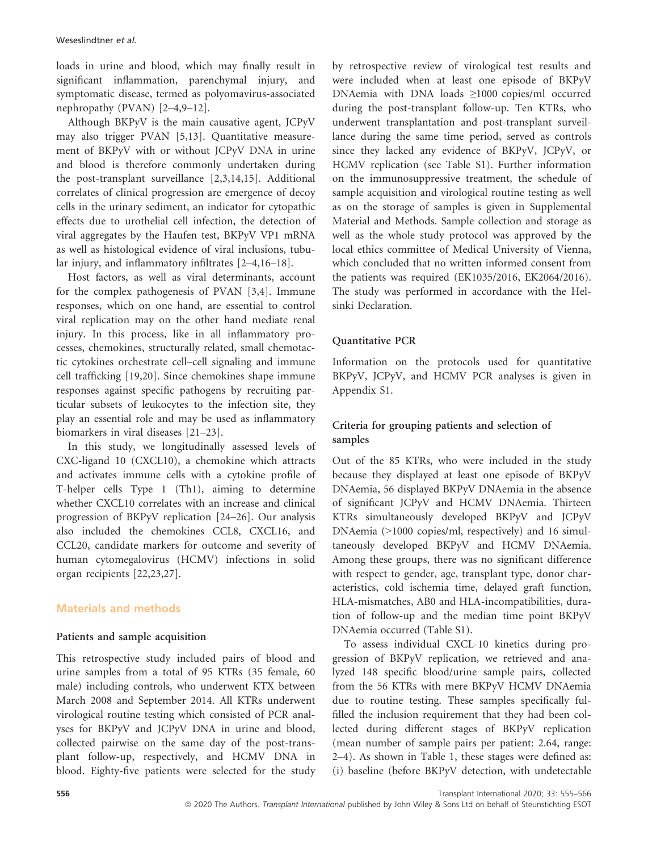loads in urine and blood, which may finally result in significant inflammation, parenchymal injury, and symptomatic disease, termed as polyomavirus-associated nephropathy (PVAN) [2–4,9–12].

Although BKPyV is the main causative agent, JCPyV may also trigger PVAN [5,13]. Quantitative measurement of BKPyV with or without JCPyV DNA in urine and blood is therefore commonly undertaken during the post-transplant surveillance [2,3,14,15]. Additional correlates of clinical progression are emergence of decoy cells in the urinary sediment, an indicator for cytopathic effects due to urothelial cell infection, the detection of viral aggregates by the Haufen test, BKPyV VP1 mRNA as well as histological evidence of viral inclusions, tubular injury, and inflammatory infiltrates [2–4,16–18].

Host factors, as well as viral determinants, account for the complex pathogenesis of PVAN [3,4]. Immune responses, which on one hand, are essential to control viral replication may on the other hand mediate renal injury. In this process, like in all inflammatory processes, chemokines, structurally related, small chemotactic cytokines orchestrate cell–cell signaling and immune cell trafficking [19,20]. Since chemokines shape immune responses against specific pathogens by recruiting particular subsets of leukocytes to the infection site, they play an essential role and may be used as inflammatory biomarkers in viral diseases [21–23].

In this study, we longitudinally assessed levels of CXC-ligand 10 (CXCL10), a chemokine which attracts and activates immune cells with a cytokine profile of T-helper cells Type 1 (Th1), aiming to determine whether CXCL10 correlates with an increase and clinical progression of BKPyV replication [24–26]. Our analysis also included the chemokines CCL8, CXCL16, and CCL20, candidate markers for outcome and severity of human cytomegalovirus (HCMV) infections in solid organ recipients [22,23,27].

# Materials and methods

# Patients and sample acquisition

This retrospective study included pairs of blood and urine samples from a total of 95 KTRs (35 female, 60 male) including controls, who underwent KTX between March 2008 and September 2014. All KTRs underwent virological routine testing which consisted of PCR analyses for BKPyV and JCPyV DNA in urine and blood, collected pairwise on the same day of the post-transplant follow-up, respectively, and HCMV DNA in blood. Eighty-five patients were selected for the study by retrospective review of virological test results and were included when at least one episode of BKPyV DNAemia with DNA loads ≥1000 copies/ml occurred during the post-transplant follow-up. Ten KTRs, who underwent transplantation and post-transplant surveillance during the same time period, served as controls since they lacked any evidence of BKPyV, JCPyV, or HCMV replication (see Table S1). Further information on the immunosuppressive treatment, the schedule of sample acquisition and virological routine testing as well as on the storage of samples is given in Supplemental Material and Methods. Sample collection and storage as well as the whole study protocol was approved by the local ethics committee of Medical University of Vienna, which concluded that no written informed consent from the patients was required (EK1035/2016, EK2064/2016). The study was performed in accordance with the Helsinki Declaration.

# Quantitative PCR

Information on the protocols used for quantitative BKPyV, JCPyV, and HCMV PCR analyses is given in Appendix S1.

# Criteria for grouping patients and selection of samples

Out of the 85 KTRs, who were included in the study because they displayed at least one episode of BKPyV DNAemia, 56 displayed BKPyV DNAemia in the absence of significant JCPyV and HCMV DNAemia. Thirteen KTRs simultaneously developed BKPyV and JCPyV DNAemia (>1000 copies/ml, respectively) and 16 simultaneously developed BKPyV and HCMV DNAemia. Among these groups, there was no significant difference with respect to gender, age, transplant type, donor characteristics, cold ischemia time, delayed graft function, HLA-mismatches, AB0 and HLA-incompatibilities, duration of follow-up and the median time point BKPyV DNAemia occurred (Table S1).

To assess individual CXCL-10 kinetics during progression of BKPyV replication, we retrieved and analyzed 148 specific blood/urine sample pairs, collected from the 56 KTRs with mere BKPyV HCMV DNAemia due to routine testing. These samples specifically fulfilled the inclusion requirement that they had been collected during different stages of BKPyV replication (mean number of sample pairs per patient: 2.64, range: 2–4). As shown in Table 1, these stages were defined as: (i) baseline (before BKPyV detection, with undetectable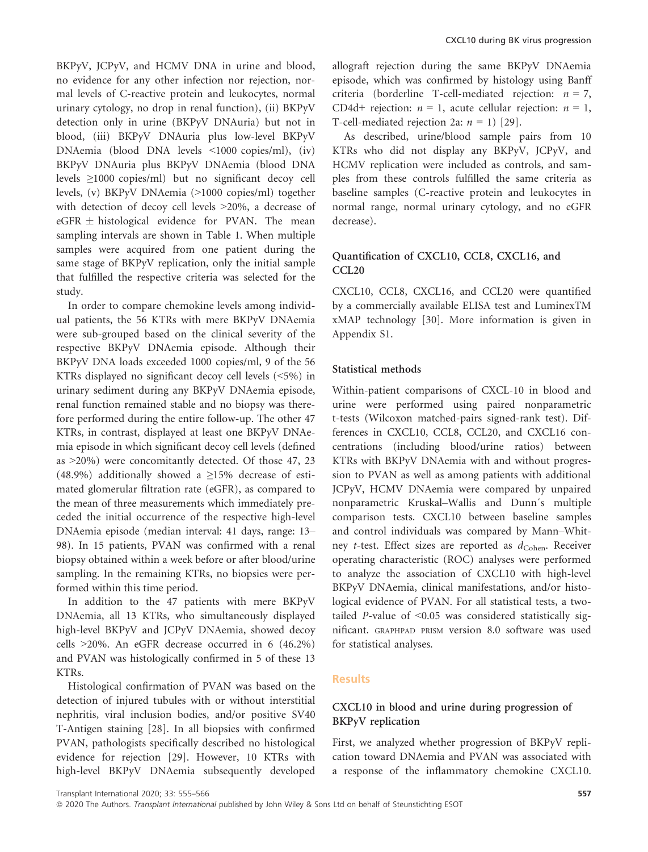BKPyV, JCPyV, and HCMV DNA in urine and blood, no evidence for any other infection nor rejection, normal levels of C-reactive protein and leukocytes, normal urinary cytology, no drop in renal function), (ii) BKPyV detection only in urine (BKPyV DNAuria) but not in blood, (iii) BKPyV DNAuria plus low-level BKPyV DNAemia (blood DNA levels <1000 copies/ml), (iv) BKPyV DNAuria plus BKPyV DNAemia (blood DNA levels ≥1000 copies/ml) but no significant decoy cell levels, (v) BKPyV DNAemia (>1000 copies/ml) together with detection of decoy cell levels >20%, a decrease of  $eGFR \pm histological$  evidence for PVAN. The mean sampling intervals are shown in Table 1. When multiple samples were acquired from one patient during the same stage of BKPyV replication, only the initial sample that fulfilled the respective criteria was selected for the study.

In order to compare chemokine levels among individual patients, the 56 KTRs with mere BKPyV DNAemia were sub-grouped based on the clinical severity of the respective BKPyV DNAemia episode. Although their BKPyV DNA loads exceeded 1000 copies/ml, 9 of the 56 KTRs displayed no significant decoy cell levels (<5%) in urinary sediment during any BKPyV DNAemia episode, renal function remained stable and no biopsy was therefore performed during the entire follow-up. The other 47 KTRs, in contrast, displayed at least one BKPyV DNAemia episode in which significant decoy cell levels (defined as >20%) were concomitantly detected. Of those 47, 23 (48.9%) additionally showed a ≥15% decrease of estimated glomerular filtration rate (eGFR), as compared to the mean of three measurements which immediately preceded the initial occurrence of the respective high-level DNAemia episode (median interval: 41 days, range: 13– 98). In 15 patients, PVAN was confirmed with a renal biopsy obtained within a week before or after blood/urine sampling. In the remaining KTRs, no biopsies were performed within this time period.

In addition to the 47 patients with mere BKPyV DNAemia, all 13 KTRs, who simultaneously displayed high-level BKPyV and JCPyV DNAemia, showed decoy cells >20%. An eGFR decrease occurred in 6 (46.2%) and PVAN was histologically confirmed in 5 of these 13 KTRs.

Histological confirmation of PVAN was based on the detection of injured tubules with or without interstitial nephritis, viral inclusion bodies, and/or positive SV40 T-Antigen staining [28]. In all biopsies with confirmed PVAN, pathologists specifically described no histological evidence for rejection [29]. However, 10 KTRs with high-level BKPyV DNAemia subsequently developed

allograft rejection during the same BKPyV DNAemia episode, which was confirmed by histology using Banff criteria (borderline T-cell-mediated rejection:  $n = 7$ , CD4d+ rejection:  $n = 1$ , acute cellular rejection:  $n = 1$ , T-cell-mediated rejection 2a:  $n = 1$  [29].

As described, urine/blood sample pairs from 10 KTRs who did not display any BKPyV, JCPyV, and HCMV replication were included as controls, and samples from these controls fulfilled the same criteria as baseline samples (C-reactive protein and leukocytes in normal range, normal urinary cytology, and no eGFR decrease).

### Quantification of CXCL10, CCL8, CXCL16, and CCL20

CXCL10, CCL8, CXCL16, and CCL20 were quantified by a commercially available ELISA test and LuminexTM xMAP technology [30]. More information is given in Appendix S1.

### Statistical methods

Within-patient comparisons of CXCL-10 in blood and urine were performed using paired nonparametric t-tests (Wilcoxon matched-pairs signed-rank test). Differences in CXCL10, CCL8, CCL20, and CXCL16 concentrations (including blood/urine ratios) between KTRs with BKPyV DNAemia with and without progression to PVAN as well as among patients with additional JCPyV, HCMV DNAemia were compared by unpaired nonparametric Kruskal–Wallis and Dunn´s multiple comparison tests. CXCL10 between baseline samples and control individuals was compared by Mann–Whitney *t*-test. Effect sizes are reported as  $d_{\text{Cohen}}$ . Receiver operating characteristic (ROC) analyses were performed to analyze the association of CXCL10 with high-level BKPyV DNAemia, clinical manifestations, and/or histological evidence of PVAN. For all statistical tests, a twotailed *P*-value of  $\leq 0.05$  was considered statistically significant. GRAPHPAD PRISM version 8.0 software was used for statistical analyses.

### Results

# CXCL10 in blood and urine during progression of BKPyV replication

First, we analyzed whether progression of BKPyV replication toward DNAemia and PVAN was associated with a response of the inflammatory chemokine CXCL10.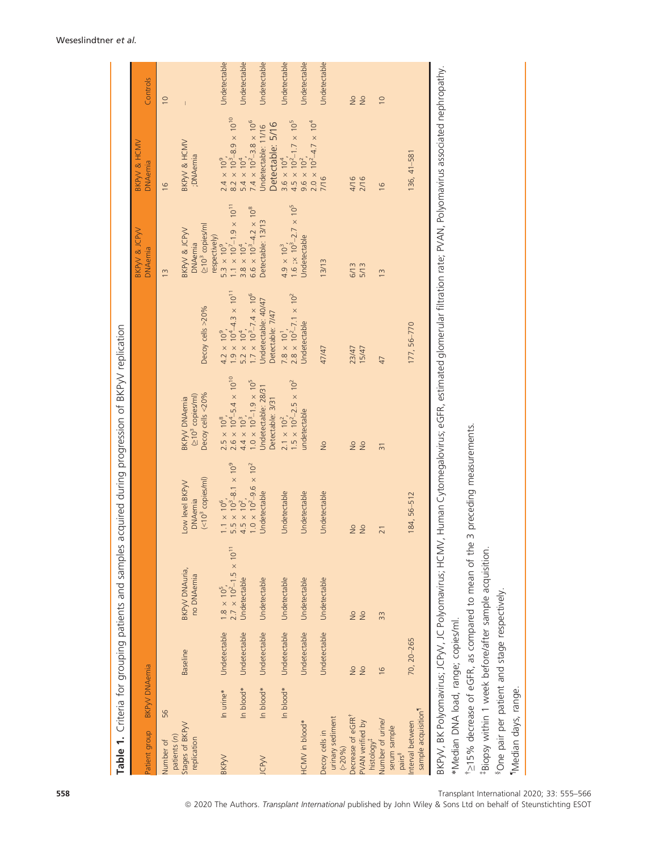| Patient group                                                               | BKP <sub>W</sub> DNAemia       |                 | Table 1. Criteria for grouping patients and samples                  |                                                                                              | acquired during progression of BKPyV replication                             |                                                                   | BKPVV & JCPVV<br><b>DNAemia</b>                                                                       | BKP <sub>W</sub> & HCMV<br><b>DNAemia</b>                                                                                                                    | Controls                       |
|-----------------------------------------------------------------------------|--------------------------------|-----------------|----------------------------------------------------------------------|----------------------------------------------------------------------------------------------|------------------------------------------------------------------------------|-------------------------------------------------------------------|-------------------------------------------------------------------------------------------------------|--------------------------------------------------------------------------------------------------------------------------------------------------------------|--------------------------------|
| 56<br>Number of                                                             |                                |                 |                                                                      |                                                                                              |                                                                              |                                                                   | $\frac{3}{2}$                                                                                         | $\frac{6}{2}$                                                                                                                                                | $\overline{0}$                 |
| patients $(n)$                                                              |                                |                 |                                                                      |                                                                                              |                                                                              |                                                                   |                                                                                                       |                                                                                                                                                              |                                |
| Stages of BKPyV<br>replication                                              |                                | <b>Baseline</b> | BKPyV DNAuria,<br>no DNAemia                                         | $(< 103$ copies/ml)<br>Low level BKP <sub>W</sub><br><b>DNAemia</b>                          | Decoy cells <20%<br>(210 <sup>3</sup> copies/ml)<br>BKP <sub>W</sub> DNAemia | Decoy cells >20%                                                  | (≥10 <sup>3</sup> copies/ml<br>BKP <sub>W</sub> & JCP <sub>W</sub><br>respectively)<br><b>DNAemia</b> | BKP <sub>W</sub> & HCMV<br>;DNAemia                                                                                                                          |                                |
| BKP <sub>W</sub>                                                            | In urine*                      | Undetectable    | $1.8 \times 10^5$ ,<br>2.7 × 10 <sup>2</sup> -1.5 × 10 <sup>11</sup> | 1.1 $\times$ 10 <sup>6</sup> ,<br>5.5 $\times$ 10 <sup>3</sup> -8.1 $\times$ 10 <sup>9</sup> | $2.5 \times 10^8$ ,<br>$2.6 \times 10^4$ -5.4 × 10 <sup>10</sup>             | $1.9 \times 10^4 - 4.3 \times 10^{11}$<br>$4.2 \times 10^9$ ,     | $5.3 \times 10^9$ ,<br>1.1 × 10 <sup>7</sup> -1.9 × 10 <sup>11</sup>                                  | $2.4 \times 10^9$ ,<br>8.2 × 10 <sup>3</sup> -8.9 × 10 <sup>10</sup>                                                                                         | Undetectable                   |
|                                                                             | In blood*                      | Undetectable    | Undetectable                                                         | $1.0 \times 10^{2} - 9.6 \times 10^{2}$<br>$4.5 \times 10^{2}$ ,                             | $1.0 \times 10^3 - 1.9 \times 10^5$<br>$4.4 \times 10^{3}$ ,                 | $1.7 \times 10^{3} - 7.4 \times 10^{6}$<br>$5.2 \times 10^{4}$ ,  | $6.6 \times 10^{3} - 4.2 \times 10^{8}$<br>$3.8 \times 10^{4}$ ,                                      | $7.4 \times 10^2 - 3.8 \times 10^6$<br>$5.4 \times 10^{4}$ ,                                                                                                 | Undetectable                   |
| JCP <sub>W</sub>                                                            | In blood*                      | Undetectable    | Undetectable                                                         | Jndetectable                                                                                 | Undetectable: 28/31<br>Detectable: 3/31                                      | Undetectable: 40/47<br>Detectable: 7/47                           | Detectable: 13/13                                                                                     | Detectable: 5/16<br>Undetectable: 11/16                                                                                                                      | Undetectable                   |
|                                                                             | In blood <sup>*</sup>          | Undetectable    | Undetectable                                                         | Undetectable                                                                                 | $2.1 \times 10^2$ ,<br>1.5 × 10 <sup>2</sup> -2.5 × 10 <sup>2</sup>          | $7.8 \times 10^{1}$ ,<br>2.8 $\times 10^{2}$ –7.1 $\times 10^{2}$ | 1.6 ; $\times$ 10 <sup>3</sup> -2.7 $\times$ 10 <sup>5</sup><br>$4.9 \times 10^{3}$ ,                 | $4.5 \times 10^{2} - 1.7 \times 10^{5}$<br>$3.6 \times 10^{4}$ ,                                                                                             | Undetectable                   |
| HCMV in blood*                                                              |                                | Undetectable    | Undetectable                                                         | Undetectable                                                                                 | undetectable                                                                 | Undetectable                                                      | Undetectable                                                                                          | $2.0 \times 10^{2} - 4.7 \times 10^{4}$<br>$9.6 \times 10^{2}$ ,                                                                                             | Undetectable                   |
| urinary sediment<br>Decoy cells in<br>$( > 20\%)$                           |                                | Undetectable    | Undetectable                                                         | Undetectable                                                                                 | $\frac{1}{2}$                                                                | 47/47                                                             | 13/13                                                                                                 | 7/16                                                                                                                                                         | Undetectable                   |
| Decrease of eGFR <sup>1</sup><br>PVAN verified by<br>histology <sup>#</sup> | $\frac{1}{2}$<br>$\frac{1}{2}$ |                 | $\frac{1}{2}$<br>$\frac{1}{2}$                                       | $\frac{1}{2}$<br>$\frac{1}{2}$                                                               | $\frac{1}{2}$<br>$\frac{1}{2}$                                               | 15/47<br>23/47                                                    | 6/13<br>5/13                                                                                          | 4/16<br>2/16                                                                                                                                                 | $\frac{1}{2}$<br>$\frac{1}{2}$ |
| Number of urine/<br>serum sample<br>pairs <sup>8</sup>                      | $\frac{6}{2}$                  |                 | 33                                                                   | $\overline{21}$                                                                              | $\overline{31}$                                                              | 47                                                                | $\frac{3}{2}$                                                                                         | $\frac{6}{2}$                                                                                                                                                | $\overline{10}$                |
| sample acquisition <sup>1</sup><br>nterval between                          |                                | 70, 20-265      |                                                                      | 184, 56-512                                                                                  |                                                                              | 177, 56-770                                                       |                                                                                                       | $136, 41 - 581$                                                                                                                                              |                                |
| *Median DNA load, range; copies/ml.                                         |                                |                 |                                                                      |                                                                                              |                                                                              |                                                                   |                                                                                                       | BKPyV, BK Polyomavirus; JC Polyomavirus; HCMV, Human Cytomegalovirus; eGFR, estimated glomerular filtration rate; PVAN, Polyomavirus associated nephropathy. |                                |
|                                                                             |                                |                 | *215% decrease of eGFR, as compared to mean of the                   | 3 preceding measurements.                                                                    |                                                                              |                                                                   |                                                                                                       |                                                                                                                                                              |                                |

# Table 1 Criteria for grouning patients and samples acquired during progression of RKPAV replication

Weseslindtner et al.

558 Transplant International 2020; 33: 555–566

¶Median days, range.

"Median days, range.

‡Biopsy within 1 week before/after sample acquisition.

\*Biopsy within 1 week before/after sample acquisition.

§One pair per patient and stage respectively.

<sup>8</sup>One pair per patient and stage respectively.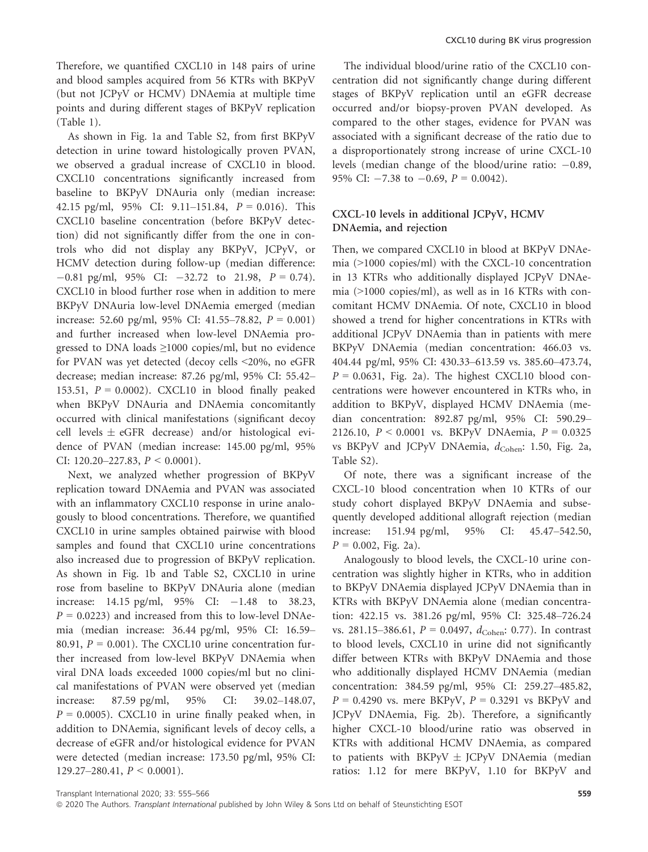Therefore, we quantified CXCL10 in 148 pairs of urine and blood samples acquired from 56 KTRs with BKPyV (but not JCPyV or HCMV) DNAemia at multiple time points and during different stages of BKPyV replication (Table 1).

As shown in Fig. 1a and Table S2, from first BKPyV detection in urine toward histologically proven PVAN, we observed a gradual increase of CXCL10 in blood. CXCL10 concentrations significantly increased from baseline to BKPyV DNAuria only (median increase: 42.15 pg/ml,  $95\%$  CI:  $9.11-151.84$ ,  $P = 0.016$ ). This CXCL10 baseline concentration (before BKPyV detection) did not significantly differ from the one in controls who did not display any BKPyV, JCPyV, or HCMV detection during follow-up (median difference:  $-0.81$  pg/ml, 95% CI:  $-32.72$  to 21.98,  $P = 0.74$ ). CXCL10 in blood further rose when in addition to mere BKPyV DNAuria low-level DNAemia emerged (median increase: 52.60 pg/ml, 95% CI: 41.55–78.82,  $P = 0.001$ ) and further increased when low-level DNAemia progressed to DNA loads ≥1000 copies/ml, but no evidence for PVAN was yet detected (decoy cells <20%, no eGFR decrease; median increase: 87.26 pg/ml, 95% CI: 55.42– 153.51,  $P = 0.0002$ ). CXCL10 in blood finally peaked when BKPyV DNAuria and DNAemia concomitantly occurred with clinical manifestations (significant decoy cell levels  $\pm$  eGFR decrease) and/or histological evidence of PVAN (median increase: 145.00 pg/ml, 95% CI: 120.20–227.83,  $P < 0.0001$ ).

Next, we analyzed whether progression of BKPyV replication toward DNAemia and PVAN was associated with an inflammatory CXCL10 response in urine analogously to blood concentrations. Therefore, we quantified CXCL10 in urine samples obtained pairwise with blood samples and found that CXCL10 urine concentrations also increased due to progression of BKPyV replication. As shown in Fig. 1b and Table S2, CXCL10 in urine rose from baseline to BKPyV DNAuria alone (median increase: 14.15 pg/ml,  $95\%$  CI:  $-1.48$  to 38.23,  $P = 0.0223$ ) and increased from this to low-level DNAemia (median increase: 36.44 pg/ml, 95% CI: 16.59– 80.91,  $P = 0.001$ ). The CXCL10 urine concentration further increased from low-level BKPyV DNAemia when viral DNA loads exceeded 1000 copies/ml but no clinical manifestations of PVAN were observed yet (median increase: 87.59 pg/ml, 95% CI: 39.02–148.07,  $P = 0.0005$ ). CXCL10 in urine finally peaked when, in addition to DNAemia, significant levels of decoy cells, a decrease of eGFR and/or histological evidence for PVAN were detected (median increase: 173.50 pg/ml, 95% CI:  $129.27-280.41, P \le 0.0001$ .

The individual blood/urine ratio of the CXCL10 concentration did not significantly change during different stages of BKPyV replication until an eGFR decrease occurred and/or biopsy-proven PVAN developed. As compared to the other stages, evidence for PVAN was associated with a significant decrease of the ratio due to a disproportionately strong increase of urine CXCL-10 levels (median change of the blood/urine ratio:  $-0.89$ , 95% CI:  $-7.38$  to  $-0.69$ ,  $P = 0.0042$ ).

# CXCL-10 levels in additional JCPyV, HCMV DNAemia, and rejection

Then, we compared CXCL10 in blood at BKPyV DNAemia (>1000 copies/ml) with the CXCL-10 concentration in 13 KTRs who additionally displayed JCPyV DNAemia (>1000 copies/ml), as well as in 16 KTRs with concomitant HCMV DNAemia. Of note, CXCL10 in blood showed a trend for higher concentrations in KTRs with additional JCPyV DNAemia than in patients with mere BKPyV DNAemia (median concentration: 466.03 vs. 404.44 pg/ml, 95% CI: 430.33–613.59 vs. 385.60–473.74,  $P = 0.0631$ , Fig. 2a). The highest CXCL10 blood concentrations were however encountered in KTRs who, in addition to BKPyV, displayed HCMV DNAemia (median concentration: 892.87 pg/ml, 95% CI: 590.29– 2126.10,  $P < 0.0001$  vs. BKPyV DNAemia,  $P = 0.0325$ vs BKPyV and JCPyV DNAemia,  $d_{\rm Cohen}$ : 1.50, Fig. 2a, Table S2).

Of note, there was a significant increase of the CXCL-10 blood concentration when 10 KTRs of our study cohort displayed BKPyV DNAemia and subsequently developed additional allograft rejection (median increase: 151.94 pg/ml, 95% CI: 45.47–542.50,  $P = 0.002$ , Fig. 2a).

Analogously to blood levels, the CXCL-10 urine concentration was slightly higher in KTRs, who in addition to BKPyV DNAemia displayed JCPyV DNAemia than in KTRs with BKPyV DNAemia alone (median concentration: 422.15 vs. 381.26 pg/ml, 95% CI: 325.48–726.24 vs. 281.15–386.61,  $P = 0.0497$ ,  $d_{\text{Cohen}}$ : 0.77). In contrast to blood levels, CXCL10 in urine did not significantly differ between KTRs with BKPyV DNAemia and those who additionally displayed HCMV DNAemia (median concentration: 384.59 pg/ml, 95% CI: 259.27–485.82,  $P = 0.4290$  vs. mere BKPyV,  $P = 0.3291$  vs BKPyV and JCPyV DNAemia, Fig. 2b). Therefore, a significantly higher CXCL-10 blood/urine ratio was observed in KTRs with additional HCMV DNAemia, as compared to patients with  $BKPyV \pm JCPyV$  DNAemia (median ratios: 1.12 for mere BKPyV, 1.10 for BKPyV and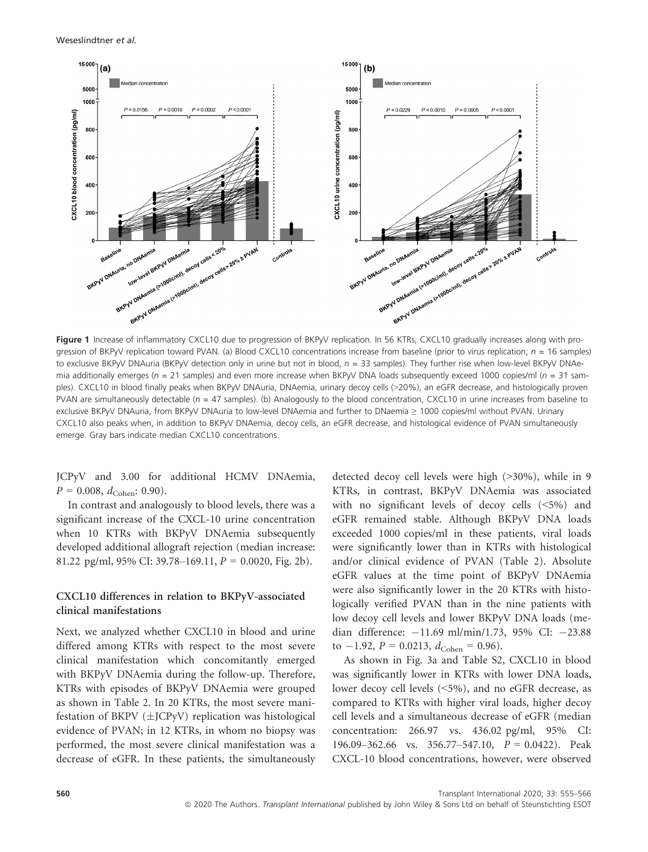

Figure 1 Increase of inflammatory CXCL10 due to progression of BKPyV replication. In 56 KTRs, CXCL10 gradually increases along with progression of BKPyV replication toward PVAN. (a) Blood CXCL10 concentrations increase from baseline (prior to virus replication;  $n = 16$  samples) to exclusive BKPyV DNAuria (BKPyV detection only in urine but not in blood,  $n = 33$  samples). They further rise when low-level BKPyV DNAemia additionally emerges ( $n = 21$  samples) and even more increase when BKPyV DNA loads subsequently exceed 1000 copies/ml ( $n = 31$  samples). CXCL10 in blood finally peaks when BKPyV DNAuria, DNAemia, urinary decoy cells (>20%), an eGFR decrease, and histologically proven PVAN are simultaneously detectable ( $n = 47$  samples). (b) Analogously to the blood concentration, CXCL10 in urine increases from baseline to exclusive BKPyV DNAuria, from BKPyV DNAuria to low-level DNAemia and further to DNaemia ≥ 1000 copies/ml without PVAN. Urinary CXCL10 also peaks when, in addition to BKPyV DNAemia, decoy cells, an eGFR decrease, and histological evidence of PVAN simultaneously emerge. Gray bars indicate median CXCL10 concentrations.

JCPyV and 3.00 for additional HCMV DNAemia,  $P = 0.008$ ,  $d_{Cohen}$ : 0.90).

In contrast and analogously to blood levels, there was a significant increase of the CXCL-10 urine concentration when 10 KTRs with BKPyV DNAemia subsequently developed additional allograft rejection (median increase: 81.22 pg/ml, 95% CI: 39.78–169.11,  $P = 0.0020$ , Fig. 2b).

### CXCL10 differences in relation to BKPyV-associated clinical manifestations

Next, we analyzed whether CXCL10 in blood and urine differed among KTRs with respect to the most severe clinical manifestation which concomitantly emerged with BKPyV DNAemia during the follow-up. Therefore, KTRs with episodes of BKPyV DNAemia were grouped as shown in Table 2. In 20 KTRs, the most severe manifestation of BKPV  $(\pm$ JCPyV) replication was histological evidence of PVAN; in 12 KTRs, in whom no biopsy was performed, the most severe clinical manifestation was a decrease of eGFR. In these patients, the simultaneously detected decoy cell levels were high (>30%), while in 9 KTRs, in contrast, BKPyV DNAemia was associated with no significant levels of decoy cells (<5%) and eGFR remained stable. Although BKPyV DNA loads exceeded 1000 copies/ml in these patients, viral loads were significantly lower than in KTRs with histological and/or clinical evidence of PVAN (Table 2). Absolute eGFR values at the time point of BKPyV DNAemia were also significantly lower in the 20 KTRs with histologically verified PVAN than in the nine patients with low decoy cell levels and lower BKPyV DNA loads (median difference:  $-11.69$  ml/min/1.73, 95% CI:  $-23.88$ to  $-1.92$ ,  $P = 0.0213$ ,  $d_{Cohen} = 0.96$ .

As shown in Fig. 3a and Table S2, CXCL10 in blood was significantly lower in KTRs with lower DNA loads, lower decoy cell levels (<5%), and no eGFR decrease, as compared to KTRs with higher viral loads, higher decoy cell levels and a simultaneous decrease of eGFR (median concentration: 266.97 vs. 436.02 pg/ml, 95% CI: 196.09–362.66 vs. 356.77–547.10,  $P = 0.0422$ . Peak CXCL-10 blood concentrations, however, were observed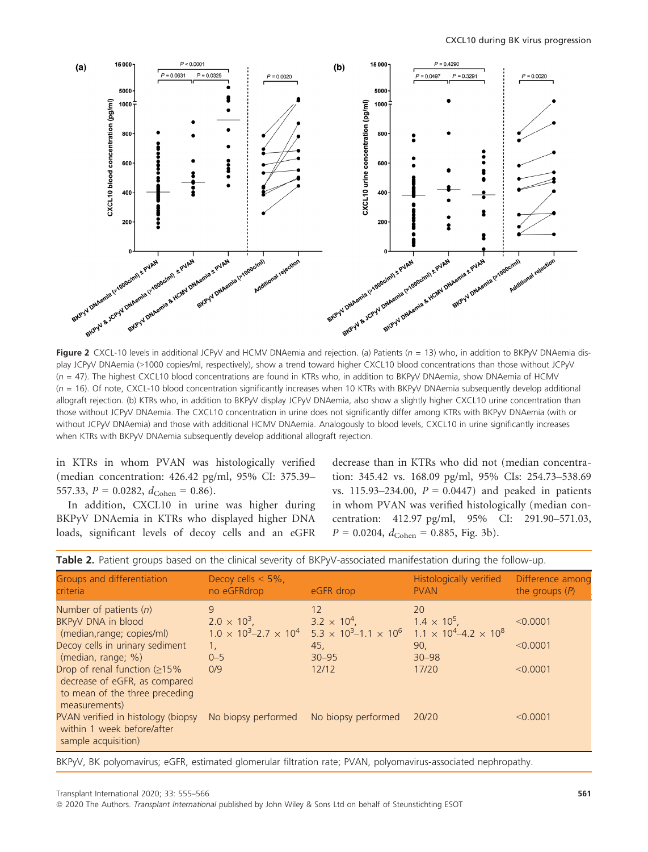

Figure 2 CXCL-10 levels in additional JCPyV and HCMV DNAemia and rejection. (a) Patients ( $n = 13$ ) who, in addition to BKPyV DNAemia display JCPyV DNAemia (>1000 copies/ml, respectively), show a trend toward higher CXCL10 blood concentrations than those without JCPyV  $(n = 47)$ . The highest CXCL10 blood concentrations are found in KTRs who, in addition to BKPyV DNAemia, show DNAemia of HCMV  $(n = 16)$ . Of note, CXCL-10 blood concentration significantly increases when 10 KTRs with BKPyV DNAemia subsequently develop additional allograft rejection. (b) KTRs who, in addition to BKPyV display JCPyV DNAemia, also show a slightly higher CXCL10 urine concentration than those without JCPyV DNAemia. The CXCL10 concentration in urine does not significantly differ among KTRs with BKPyV DNAemia (with or without JCPyV DNAemia) and those with additional HCMV DNAemia. Analogously to blood levels, CXCL10 in urine significantly increases when KTRs with BKPyV DNAemia subsequently develop additional allograft rejection.

in KTRs in whom PVAN was histologically verified (median concentration: 426.42 pg/ml, 95% CI: 375.39– 557.33,  $P = 0.0282$ ,  $d_{Cohen} = 0.86$ .

In addition, CXCL10 in urine was higher during BKPyV DNAemia in KTRs who displayed higher DNA loads, significant levels of decoy cells and an eGFR decrease than in KTRs who did not (median concentration: 345.42 vs. 168.09 pg/ml, 95% CIs: 254.73–538.69 vs. 115.93–234.00,  $P = 0.0447$  and peaked in patients in whom PVAN was verified histologically (median concentration: 412.97 pg/ml, 95% CI: 291.90–571.03,  $P = 0.0204$ ,  $d_{\text{Cohen}} = 0.885$ , Fig. 3b).

| Groups and differentiation<br>criteria                                                                                                | Decoy cells $<$ 5%.<br>no eGFRdrop                                                 | eGFR drop                                                                                                                             | Histologically verified<br><b>PVAN</b>                      | Difference among<br>the groups $(P)$ |
|---------------------------------------------------------------------------------------------------------------------------------------|------------------------------------------------------------------------------------|---------------------------------------------------------------------------------------------------------------------------------------|-------------------------------------------------------------|--------------------------------------|
| Number of patients $(n)$<br>BKPyV DNA in blood<br>(median, range; copies/ml)<br>Decoy cells in urinary sediment<br>(median, range; %) | 9<br>$2.0 \times 10^{3}$ ,<br>$1.0 \times 10^3 - 2.7 \times 10^4$<br>1.<br>$0 - 5$ | 12<br>$3.2 \times 10^{4}$ ,<br>$5.3 \times 10^{3} - 1.1 \times 10^{6}$ 1.1 × 10 <sup>4</sup> $-4.2 \times 10^{8}$<br>45,<br>$30 - 95$ | 20<br>$1.4 \times 10^{5}$ ,<br>90 <sub>r</sub><br>$30 - 98$ | < 0.0001<br>< 0.0001                 |
| Drop of renal function $(215\%$<br>decrease of eGFR, as compared<br>to mean of the three preceding<br>measurements)                   | 0/9                                                                                | 12/12                                                                                                                                 | 17/20                                                       | < 0.0001                             |
| PVAN verified in histology (biopsy<br>within 1 week before/after<br>sample acquisition)                                               | No biopsy performed                                                                | No biopsy performed                                                                                                                   | 20/20                                                       | < 0.0001                             |

Table 2. Patient groups based on the clinical severity of BKPyV-associated manifestation during the follow-up.

BKPyV, BK polyomavirus; eGFR, estimated glomerular filtration rate; PVAN, polyomavirus-associated nephropathy.

ª 2020 The Authors. Transplant International published by John Wiley & Sons Ltd on behalf of Steunstichting ESOT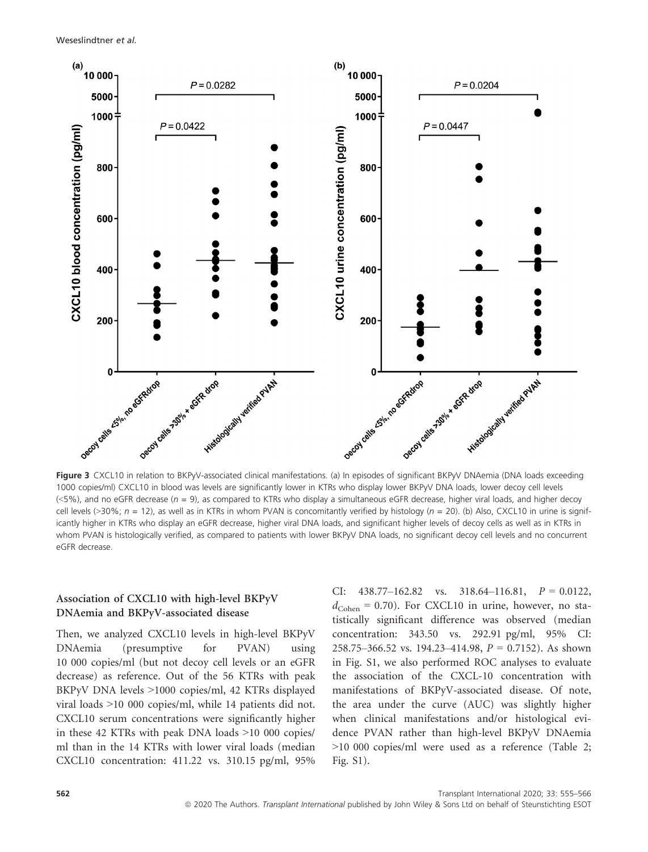Weseslindtner et al.



Figure 3 CXCL10 in relation to BKPyV-associated clinical manifestations. (a) In episodes of significant BKPyV DNAemia (DNA loads exceeding 1000 copies/ml) CXCL10 in blood was levels are significantly lower in KTRs who display lower BKPyV DNA loads, lower decoy cell levels  $(\leq 5\%)$ , and no eGFR decrease ( $n = 9$ ), as compared to KTRs who display a simultaneous eGFR decrease, higher viral loads, and higher decoy cell levels (>30%;  $n = 12$ ), as well as in KTRs in whom PVAN is concomitantly verified by histology ( $n = 20$ ). (b) Also, CXCL10 in urine is significantly higher in KTRs who display an eGFR decrease, higher viral DNA loads, and significant higher levels of decoy cells as well as in KTRs in whom PVAN is histologically verified, as compared to patients with lower BKPyV DNA loads, no significant decoy cell levels and no concurrent eGFR decrease.

# Association of CXCL10 with high-level BKPyV DNAemia and BKPyV-associated disease

Then, we analyzed CXCL10 levels in high-level BKPyV DNAemia (presumptive for PVAN) using 10 000 copies/ml (but not decoy cell levels or an eGFR decrease) as reference. Out of the 56 KTRs with peak BKPyV DNA levels >1000 copies/ml, 42 KTRs displayed viral loads >10 000 copies/ml, while 14 patients did not. CXCL10 serum concentrations were significantly higher in these 42 KTRs with peak DNA loads >10 000 copies/ ml than in the 14 KTRs with lower viral loads (median CXCL10 concentration: 411.22 vs. 310.15 pg/ml, 95%

CI:  $438.77-162.82$  vs.  $318.64-116.81$ ,  $P = 0.0122$ ,  $d_{\text{Cohen}} = 0.70$ ). For CXCL10 in urine, however, no statistically significant difference was observed (median concentration: 343.50 vs. 292.91 pg/ml, 95% CI: 258.75–366.52 vs. 194.23–414.98,  $P = 0.7152$ ). As shown in Fig. S1, we also performed ROC analyses to evaluate the association of the CXCL-10 concentration with manifestations of BKPyV-associated disease. Of note, the area under the curve (AUC) was slightly higher when clinical manifestations and/or histological evidence PVAN rather than high-level BKPyV DNAemia >10 000 copies/ml were used as a reference (Table 2; Fig. S1).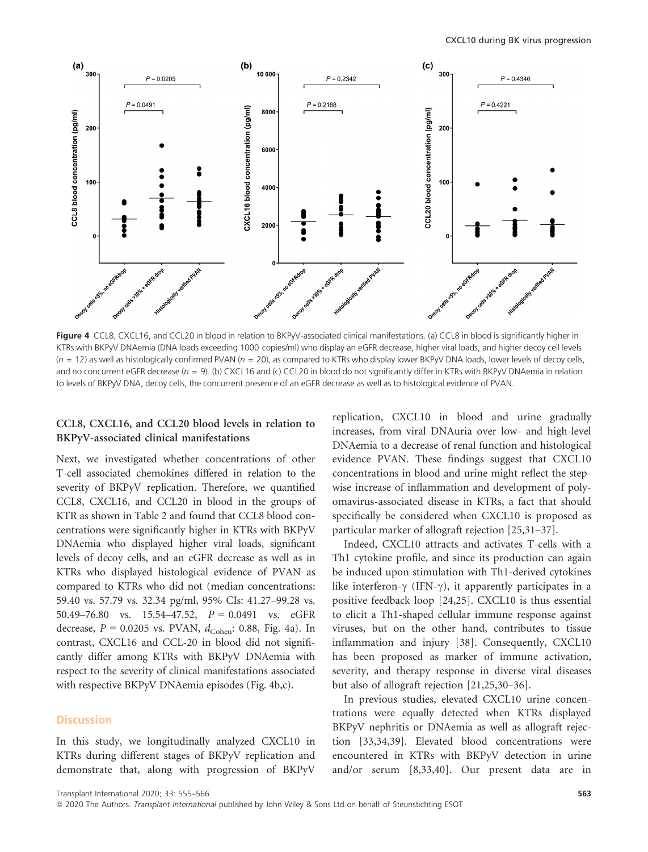

Figure 4 CCL8, CXCL16, and CCL20 in blood in relation to BKPyV-associated clinical manifestations. (a) CCL8 in blood is significantly higher in KTRs with BKPyV DNAemia (DNA loads exceeding 1000 copies/ml) who display an eGFR decrease, higher viral loads, and higher decoy cell levels  $(n = 12)$  as well as histologically confirmed PVAN  $(n = 20)$ , as compared to KTRs who display lower BKPyV DNA loads, lower levels of decoy cells, and no concurrent eGFR decrease ( $n = 9$ ). (b) CXCL16 and (c) CCL20 in blood do not significantly differ in KTRs with BKPyV DNAemia in relation to levels of BKPyV DNA, decoy cells, the concurrent presence of an eGFR decrease as well as to histological evidence of PVAN.

### CCL8, CXCL16, and CCL20 blood levels in relation to BKPyV-associated clinical manifestations

Next, we investigated whether concentrations of other T-cell associated chemokines differed in relation to the severity of BKPyV replication. Therefore, we quantified CCL8, CXCL16, and CCL20 in blood in the groups of KTR as shown in Table 2 and found that CCL8 blood concentrations were significantly higher in KTRs with BKPyV DNAemia who displayed higher viral loads, significant levels of decoy cells, and an eGFR decrease as well as in KTRs who displayed histological evidence of PVAN as compared to KTRs who did not (median concentrations: 59.40 vs. 57.79 vs. 32.34 pg/ml, 95% CIs: 41.27–99.28 vs. 50.49–76.80 vs. 15.54–47.52,  $P = 0.0491$  vs. eGFR decrease,  $P = 0.0205$  vs. PVAN,  $d_{\text{Cohen}}$ : 0.88, Fig. 4a). In contrast, CXCL16 and CCL-20 in blood did not significantly differ among KTRs with BKPyV DNAemia with respect to the severity of clinical manifestations associated with respective BKPyV DNAemia episodes (Fig. 4b,c).

### **Discussion**

In this study, we longitudinally analyzed CXCL10 in KTRs during different stages of BKPyV replication and demonstrate that, along with progression of BKPyV replication, CXCL10 in blood and urine gradually increases, from viral DNAuria over low- and high-level DNAemia to a decrease of renal function and histological evidence PVAN. These findings suggest that CXCL10 concentrations in blood and urine might reflect the stepwise increase of inflammation and development of polyomavirus-associated disease in KTRs, a fact that should specifically be considered when CXCL10 is proposed as particular marker of allograft rejection [25,31–37].

Indeed, CXCL10 attracts and activates T-cells with a Th1 cytokine profile, and since its production can again be induced upon stimulation with Th1-derived cytokines like interferon- $\gamma$  (IFN- $\gamma$ ), it apparently participates in a positive feedback loop [24,25]. CXCL10 is thus essential to elicit a Th1-shaped cellular immune response against viruses, but on the other hand, contributes to tissue inflammation and injury [38]. Consequently, CXCL10 has been proposed as marker of immune activation, severity, and therapy response in diverse viral diseases but also of allograft rejection [21,25,30–36].

In previous studies, elevated CXCL10 urine concentrations were equally detected when KTRs displayed BKPyV nephritis or DNAemia as well as allograft rejection [33,34,39]. Elevated blood concentrations were encountered in KTRs with BKPyV detection in urine and/or serum [8,33,40]. Our present data are in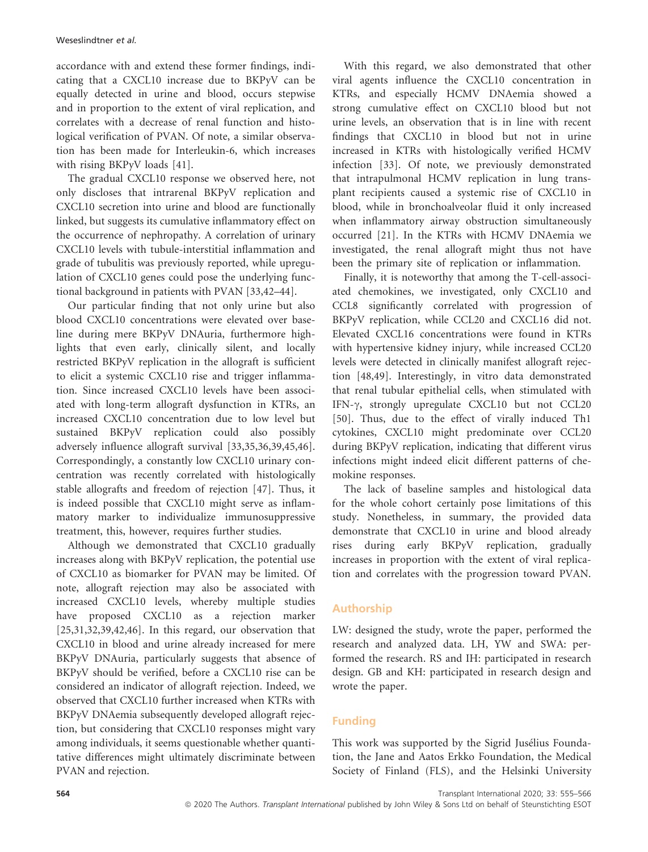accordance with and extend these former findings, indicating that a CXCL10 increase due to BKPyV can be equally detected in urine and blood, occurs stepwise and in proportion to the extent of viral replication, and correlates with a decrease of renal function and histological verification of PVAN. Of note, a similar observation has been made for Interleukin-6, which increases with rising BKPyV loads [41].

The gradual CXCL10 response we observed here, not only discloses that intrarenal BKPyV replication and CXCL10 secretion into urine and blood are functionally linked, but suggests its cumulative inflammatory effect on the occurrence of nephropathy. A correlation of urinary CXCL10 levels with tubule-interstitial inflammation and grade of tubulitis was previously reported, while upregulation of CXCL10 genes could pose the underlying functional background in patients with PVAN [33,42–44].

Our particular finding that not only urine but also blood CXCL10 concentrations were elevated over baseline during mere BKPyV DNAuria, furthermore highlights that even early, clinically silent, and locally restricted BKPyV replication in the allograft is sufficient to elicit a systemic CXCL10 rise and trigger inflammation. Since increased CXCL10 levels have been associated with long-term allograft dysfunction in KTRs, an increased CXCL10 concentration due to low level but sustained BKPyV replication could also possibly adversely influence allograft survival [33,35,36,39,45,46]. Correspondingly, a constantly low CXCL10 urinary concentration was recently correlated with histologically stable allografts and freedom of rejection [47]. Thus, it is indeed possible that CXCL10 might serve as inflammatory marker to individualize immunosuppressive treatment, this, however, requires further studies.

Although we demonstrated that CXCL10 gradually increases along with BKPyV replication, the potential use of CXCL10 as biomarker for PVAN may be limited. Of note, allograft rejection may also be associated with increased CXCL10 levels, whereby multiple studies have proposed CXCL10 as a rejection marker [25,31,32,39,42,46]. In this regard, our observation that CXCL10 in blood and urine already increased for mere BKPyV DNAuria, particularly suggests that absence of BKPyV should be verified, before a CXCL10 rise can be considered an indicator of allograft rejection. Indeed, we observed that CXCL10 further increased when KTRs with BKPyV DNAemia subsequently developed allograft rejection, but considering that CXCL10 responses might vary among individuals, it seems questionable whether quantitative differences might ultimately discriminate between PVAN and rejection.

With this regard, we also demonstrated that other viral agents influence the CXCL10 concentration in KTRs, and especially HCMV DNAemia showed a strong cumulative effect on CXCL10 blood but not urine levels, an observation that is in line with recent findings that CXCL10 in blood but not in urine increased in KTRs with histologically verified HCMV infection [33]. Of note, we previously demonstrated that intrapulmonal HCMV replication in lung transplant recipients caused a systemic rise of CXCL10 in blood, while in bronchoalveolar fluid it only increased when inflammatory airway obstruction simultaneously occurred [21]. In the KTRs with HCMV DNAemia we investigated, the renal allograft might thus not have been the primary site of replication or inflammation.

Finally, it is noteworthy that among the T-cell-associated chemokines, we investigated, only CXCL10 and CCL8 significantly correlated with progression of BKPyV replication, while CCL20 and CXCL16 did not. Elevated CXCL16 concentrations were found in KTRs with hypertensive kidney injury, while increased CCL20 levels were detected in clinically manifest allograft rejection [48,49]. Interestingly, in vitro data demonstrated that renal tubular epithelial cells, when stimulated with IFN- $\gamma$ , strongly upregulate CXCL10 but not CCL20 [50]. Thus, due to the effect of virally induced Th1 cytokines, CXCL10 might predominate over CCL20 during BKPyV replication, indicating that different virus infections might indeed elicit different patterns of chemokine responses.

The lack of baseline samples and histological data for the whole cohort certainly pose limitations of this study. Nonetheless, in summary, the provided data demonstrate that CXCL10 in urine and blood already rises during early BKPyV replication, gradually increases in proportion with the extent of viral replication and correlates with the progression toward PVAN.

# Authorship

LW: designed the study, wrote the paper, performed the research and analyzed data. LH, YW and SWA: performed the research. RS and IH: participated in research design. GB and KH: participated in research design and wrote the paper.

# Funding

This work was supported by the Sigrid Jusélius Foundation, the Jane and Aatos Erkko Foundation, the Medical Society of Finland (FLS), and the Helsinki University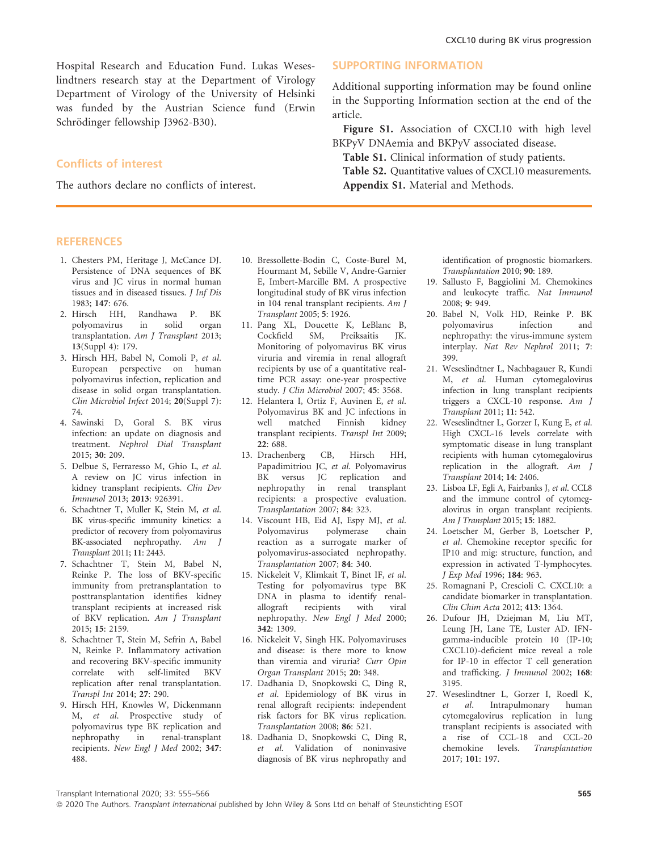Hospital Research and Education Fund. Lukas Weseslindtners research stay at the Department of Virology Department of Virology of the University of Helsinki was funded by the Austrian Science fund (Erwin Schrödinger fellowship J3962-B30).

### Conflicts of interest

The authors declare no conflicts of interest.

### **REFERENCES**

- 1. Chesters PM, Heritage J, McCance DJ. Persistence of DNA sequences of BK virus and JC virus in normal human tissues and in diseased tissues. J Inf Dis 1983; 147: 676.
- 2. Hirsch HH, Randhawa P. BK<br>polyomavirus in solid organ polyomavirus transplantation. Am J Transplant 2013; 13(Suppl 4): 179.
- 3. Hirsch HH, Babel N, Comoli P, et al. European perspective on human polyomavirus infection, replication and disease in solid organ transplantation. Clin Microbiol Infect 2014; 20(Suppl 7): 74.
- 4. Sawinski D, Goral S. BK virus infection: an update on diagnosis and treatment. Nephrol Dial Transplant 2015; 30: 209.
- 5. Delbue S, Ferraresso M, Ghio L, et al. A review on JC virus infection in kidney transplant recipients. Clin Dev Immunol 2013; 2013: 926391.
- 6. Schachtner T, Muller K, Stein M, et al. BK virus-specific immunity kinetics: a predictor of recovery from polyomavirus BK-associated nephropathy. Am J Transplant 2011; 11: 2443.
- 7. Schachtner T, Stein M, Babel N, Reinke P. The loss of BKV-specific immunity from pretransplantation to posttransplantation identifies kidney transplant recipients at increased risk of BKV replication. Am J Transplant 2015; 15: 2159.
- 8. Schachtner T, Stein M, Sefrin A, Babel N, Reinke P. Inflammatory activation and recovering BKV-specific immunity correlate with self-limited BKV replication after renal transplantation. Transpl Int 2014; 27: 290.
- 9. Hirsch HH, Knowles W, Dickenmann M, et al. Prospective study of polyomavirus type BK replication and<br>nephropathy in renal-transplant in renal-transplant recipients. New Engl J Med 2002; 347: 488.
- 10. Bressollette-Bodin C, Coste-Burel M, Hourmant M, Sebille V, Andre-Garnier E, Imbert-Marcille BM. A prospective longitudinal study of BK virus infection in 104 renal transplant recipients. Am J Transplant 2005; 5: 1926.
- 11. Pang XL, Doucette K, LeBlanc B, Cockfield SM, Preiksaitis JK. Preiksaitis Monitoring of polyomavirus BK virus viruria and viremia in renal allograft recipients by use of a quantitative realtime PCR assay: one-year prospective study. J Clin Microbiol 2007; 45: 3568.
- 12. Helantera I, Ortiz F, Auvinen E, et al. Polyomavirus BK and JC infections in well matched Finnish kidney transplant recipients. Transpl Int 2009; 22: 688.
- 13. Drachenberg CB, Hirsch HH, Papadimitriou JC, et al. Polyomavirus BK versus JC replication and nephropathy in renal transplant recipients: a prospective evaluation. Transplantation 2007; 84: 323.
- 14. Viscount HB, Eid AJ, Espy MJ, et al. Polyomavirus polymerase chain reaction as a surrogate marker of polyomavirus-associated nephropathy. Transplantation 2007; 84: 340.
- 15. Nickeleit V, Klimkait T, Binet IF, et al. Testing for polyomavirus type BK DNA in plasma to identify renalallograft recipients with viral nephropathy. New Engl J Med 2000; 342: 1309.
- 16. Nickeleit V, Singh HK. Polyomaviruses and disease: is there more to know than viremia and viruria? Curr Opin Organ Transplant 2015; 20: 348.
- 17. Dadhania D, Snopkowski C, Ding R, et al. Epidemiology of BK virus in renal allograft recipients: independent risk factors for BK virus replication. Transplantation 2008; 86: 521.
- 18. Dadhania D, Snopkowski C, Ding R, et al. Validation of noninvasive diagnosis of BK virus nephropathy and

### SUPPORTING INFORMATION

Additional supporting information may be found online in the Supporting Information section at the end of the article.

Figure S1. Association of CXCL10 with high level BKPyV DNAemia and BKPyV associated disease.

Table S1. Clinical information of study patients. Table S2. Quantitative values of CXCL10 measurements. Appendix S1. Material and Methods.

> identification of prognostic biomarkers. Transplantation 2010; 90: 189.

- 19. Sallusto F, Baggiolini M. Chemokines and leukocyte traffic. Nat Immunol 2008; 9: 949.
- 20. Babel N, Volk HD, Reinke P. BK polyomavirus nephropathy: the virus-immune system interplay. Nat Rev Nephrol 2011; 7: 399.
- 21. Weseslindtner L, Nachbagauer R, Kundi M, et al. Human cytomegalovirus infection in lung transplant recipients triggers a CXCL-10 response. Am J Transplant 2011; 11: 542.
- 22. Weseslindtner L, Gorzer I, Kung E, et al. High CXCL-16 levels correlate with symptomatic disease in lung transplant recipients with human cytomegalovirus replication in the allograft.  $Am \, J$ Transplant 2014; 14: 2406.
- 23. Lisboa LF, Egli A, Fairbanks J, et al. CCL8 and the immune control of cytomegalovirus in organ transplant recipients. Am J Transplant 2015; 15: 1882.
- 24. Loetscher M, Gerber B, Loetscher P, et al. Chemokine receptor specific for IP10 and mig: structure, function, and expression in activated T-lymphocytes. J Exp Med 1996; 184: 963.
- 25. Romagnani P, Crescioli C. CXCL10: a candidate biomarker in transplantation. Clin Chim Acta 2012; 413: 1364.
- 26. Dufour JH, Dziejman M, Liu MT, Leung JH, Lane TE, Luster AD. IFNgamma-inducible protein 10 (IP-10; CXCL10)-deficient mice reveal a role for IP-10 in effector T cell generation and trafficking. J Immunol 2002; 168: 3195.
- 27. Weseslindtner L, Gorzer I, Roedl K, et al. Intrapulmonary human Intrapulmonary cytomegalovirus replication in lung transplant recipients is associated with a rise of CCL-18 and CCL-20 chemokine levels. Transplantation 2017; 101: 197.

Transplant International 2020; 33: 555–566 565

ª 2020 The Authors. Transplant International published by John Wiley & Sons Ltd on behalf of Steunstichting ESOT